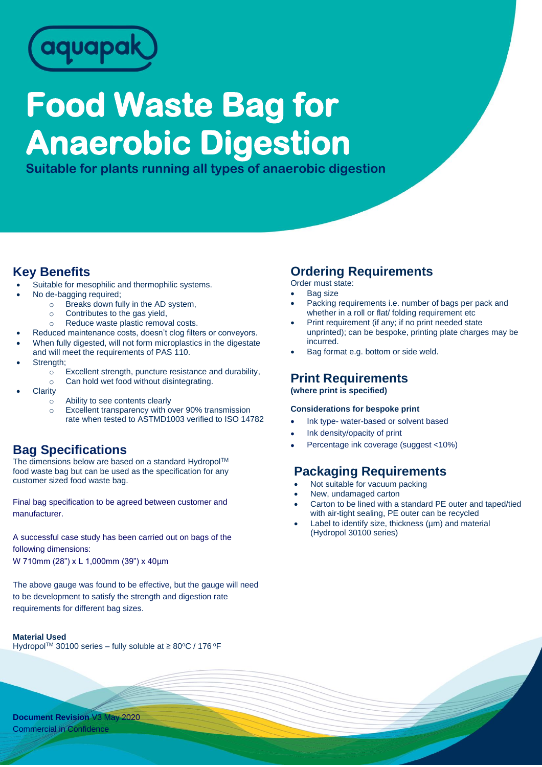

# **Food Waste Bag for Anaerobic Digestion**

**Suitable for plants running all types of anaerobic digestion**

#### **Key Benefits**

- Suitable for mesophilic and thermophilic systems.
- No de-bagging required;
	- o Breaks down fully in the AD system,
	- o Contributes to the gas yield,
		- o Reduce waste plastic removal costs.
- Reduced maintenance costs, doesn't clog filters or conveyors.
- When fully digested, will not form microplastics in the digestate
- and will meet the requirements of PAS 110. Strength;
	- o Excellent strength, puncture resistance and durability,
	- o Can hold wet food without disintegrating.
- **Clarity** 
	- o Ability to see contents clearly
	- o Excellent transparency with over 90% transmission rate when tested to ASTMD1003 verified to ISO 14782

### **Bag Specifications**

The dimensions below are based on a standard Hydropol™ food waste bag but can be used as the specification for any customer sized food waste bag.

Final bag specification to be agreed between customer and manufacturer.

A successful case study has been carried out on bags of the following dimensions: W 710mm (28") x L 1,000mm (39") x 40µm

The above gauge was found to be effective, but the gauge will need to be development to satisfy the strength and digestion rate requirements for different bag sizes.

#### **Material Used**

Hydropol™ 30100 series - fully soluble at ≥ 80°C / 176 °F

#### **Ordering Requirements**

Order must state:

- **Bag size**
- Packing requirements i.e. number of bags per pack and whether in a roll or flat/ folding requirement etc
- Print requirement (if any; if no print needed state unprinted); can be bespoke, printing plate charges may be incurred.
- Bag format e.g. bottom or side weld.

#### **Print Requirements (where print is specified)**

#### **Considerations for bespoke print**

- Ink type- water-based or solvent based
- Ink density/opacity of print
- Percentage ink coverage (suggest <10%)

## **Packaging Requirements**

- Not suitable for vacuum packing
- New, undamaged carton
- Carton to be lined with a standard PE outer and taped/tied with air-tight sealing, PE outer can be recycled
- Label to identify size, thickness  $(\mu m)$  and material (Hydropol 30100 series)

**Document Revision** V3 May 2020 Commercial in Confidence